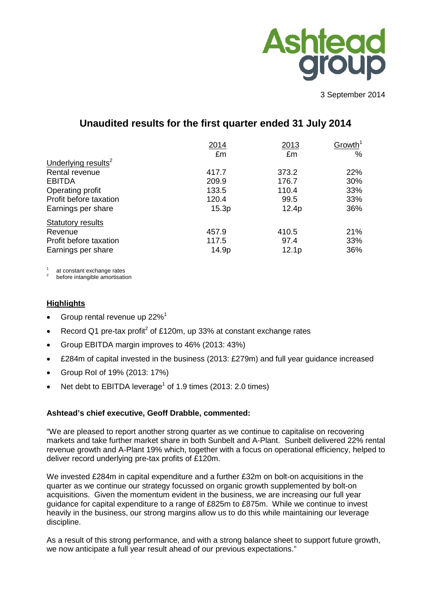

3 September 2014

# **Unaudited results for the first quarter ended 31 July 2014**

|                                 | 2014  | 2013              | Growth <sup>1</sup> |
|---------------------------------|-------|-------------------|---------------------|
|                                 | £m    | £m                | %                   |
| Underlying results <sup>2</sup> |       |                   |                     |
| Rental revenue                  | 417.7 | 373.2             | 22%                 |
| <b>EBITDA</b>                   | 209.9 | 176.7             | 30%                 |
| Operating profit                | 133.5 | 110.4             | 33%                 |
| Profit before taxation          | 120.4 | 99.5              | 33%                 |
| Earnings per share              | 15.3p | 12.4p             | 36%                 |
| <b>Statutory results</b>        |       |                   |                     |
| Revenue                         | 457.9 | 410.5             | 21%                 |
| Profit before taxation          | 117.5 | 97.4              | 33%                 |
| Earnings per share              | 14.9p | 12.1 <sub>p</sub> | 36%                 |

at constant exchange rates<br>before intangible amortisation

## **Highlights**

- Group rental revenue up 22%<sup>1</sup>
- Record Q1 pre-tax profit<sup>2</sup> of £120m, up 33% at constant exchange rates
- Group EBITDA margin improves to 46% (2013: 43%)
- £284m of capital invested in the business (2013: £279m) and full year guidance increased
- Group RoI of 19% (2013: 17%)
- Net debt to EBITDA leverage<sup>1</sup> of 1.9 times (2013: 2.0 times)

#### **Ashtead's chief executive, Geoff Drabble, commented:**

"We are pleased to report another strong quarter as we continue to capitalise on recovering markets and take further market share in both Sunbelt and A-Plant. Sunbelt delivered 22% rental revenue growth and A-Plant 19% which, together with a focus on operational efficiency, helped to deliver record underlying pre-tax profits of £120m.

We invested £284m in capital expenditure and a further £32m on bolt-on acquisitions in the quarter as we continue our strategy focussed on organic growth supplemented by bolt-on acquisitions. Given the momentum evident in the business, we are increasing our full year guidance for capital expenditure to a range of £825m to £875m. While we continue to invest heavily in the business, our strong margins allow us to do this while maintaining our leverage discipline.

As a result of this strong performance, and with a strong balance sheet to support future growth, we now anticipate a full year result ahead of our previous expectations."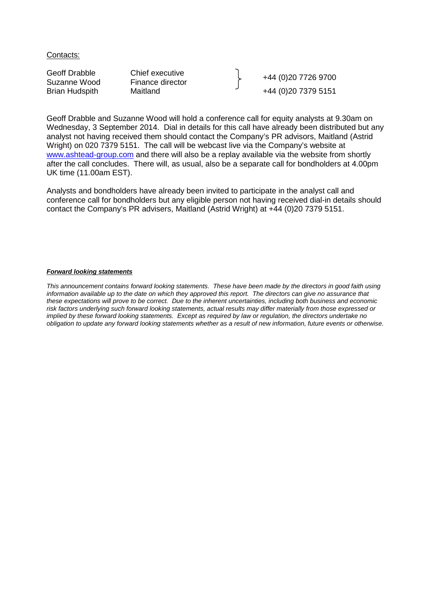Contacts:

Geoff Drabble Chief executive (Chief executive director contract and the Vietname Wood Finance director of the H<br>Brian Hudspith Maitland (D) 20 7379 5151 +44 (0)20 7379 5151

Geoff Drabble and Suzanne Wood will hold a conference call for equity analysts at 9.30am on Wednesday, 3 September 2014. Dial in details for this call have already been distributed but any analyst not having received them should contact the Company's PR advisors, Maitland (Astrid Wright) on 020 7379 5151. The call will be webcast live via the Company's website at [www.ashtead-group.com](http://www.ashtead-group.com/) and there will also be a replay available via the website from shortly after the call concludes. There will, as usual, also be a separate call for bondholders at 4.00pm UK time (11.00am EST).

Analysts and bondholders have already been invited to participate in the analyst call and conference call for bondholders but any eligible person not having received dial-in details should contact the Company's PR advisers, Maitland (Astrid Wright) at +44 (0)20 7379 5151.

#### *Forward looking statements*

*This announcement contains forward looking statements. These have been made by the directors in good faith using*  information available up to the date on which they approved this report. The directors can give no assurance that *these expectations will prove to be correct. Due to the inherent uncertainties, including both business and economic risk factors underlying such forward looking statements, actual results may differ materially from those expressed or implied by these forward looking statements. Except as required by law or regulation, the directors undertake no obligation to update any forward looking statements whether as a result of new information, future events or otherwise.*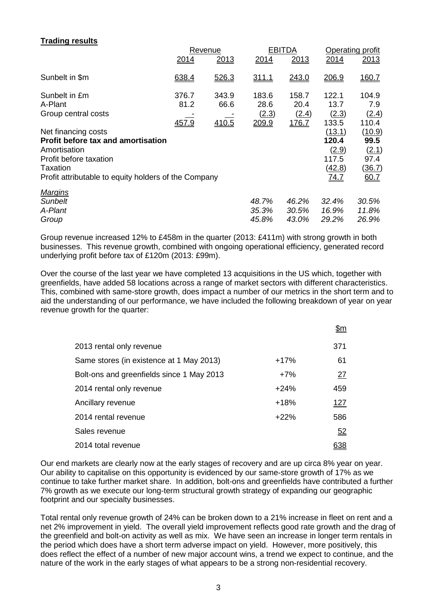## **Trading results**

|                                                      | Revenue                |                        |                                 | <b>EBITDA</b>                   |                                 | Operating profit               |
|------------------------------------------------------|------------------------|------------------------|---------------------------------|---------------------------------|---------------------------------|--------------------------------|
|                                                      | 2014                   | 2013                   | 2014                            | 2013                            | 2014                            | 2013                           |
| Sunbelt in \$m                                       | 638.4                  | 526.3                  | <u>311.1</u>                    | 243.0                           | 206.9                           | <u>160.7</u>                   |
| Sunbelt in £m<br>A-Plant<br>Group central costs      | 376.7<br>81.2<br>457.9 | 343.9<br>66.6<br>410.5 | 183.6<br>28.6<br>(2.3)<br>209.9 | 158.7<br>20.4<br>(2.4)<br>176.7 | 122.1<br>13.7<br>(2.3)<br>133.5 | 104.9<br>7.9<br>(2.4)<br>110.4 |
| Net financing costs                                  |                        |                        |                                 |                                 | (13.1)                          | (10.9)                         |
| <b>Profit before tax and amortisation</b>            |                        |                        |                                 |                                 | 120.4                           | 99.5                           |
| Amortisation                                         |                        |                        |                                 |                                 | (2.9)                           | (2.1)                          |
| Profit before taxation                               |                        |                        |                                 |                                 | 117.5                           | 97.4                           |
| Taxation                                             |                        |                        |                                 |                                 | (42.8)                          | (36.7)                         |
| Profit attributable to equity holders of the Company |                        |                        |                                 |                                 | 74.7                            | 60.7                           |
| <b>Margins</b>                                       |                        |                        |                                 |                                 |                                 |                                |
| <b>Sunbelt</b>                                       |                        |                        | 48.7%                           | 46.2%                           | 32.4%                           | 30.5%                          |
| A-Plant                                              |                        |                        | 35.3%                           | 30.5%                           | 16.9%                           | 11.8%                          |
| Group                                                |                        |                        | 45.8%                           | 43.0%                           | 29.2%                           | 26.9%                          |
|                                                      |                        |                        |                                 |                                 |                                 |                                |

Group revenue increased 12% to £458m in the quarter (2013: £411m) with strong growth in both businesses. This revenue growth, combined with ongoing operational efficiency, generated record underlying profit before tax of £120m (2013: £99m).

Over the course of the last year we have completed 13 acquisitions in the US which, together with greenfields, have added 58 locations across a range of market sectors with different characteristics. This, combined with same-store growth, does impact a number of our metrics in the short term and to aid the understanding of our performance, we have included the following breakdown of year on year revenue growth for the quarter:

|                                           |        | <u>\$m</u> |
|-------------------------------------------|--------|------------|
| 2013 rental only revenue                  |        | 371        |
| Same stores (in existence at 1 May 2013)  | $+17%$ | 61         |
| Bolt-ons and greenfields since 1 May 2013 | $+7%$  | 27         |
| 2014 rental only revenue                  | $+24%$ | 459        |
| Ancillary revenue                         | $+18%$ | 127        |
| 2014 rental revenue                       | $+22%$ | 586        |
| Sales revenue                             |        | 52         |
| 2014 total revenue                        |        | <u>638</u> |

Our end markets are clearly now at the early stages of recovery and are up circa 8% year on year. Our ability to capitalise on this opportunity is evidenced by our same-store growth of 17% as we continue to take further market share. In addition, bolt-ons and greenfields have contributed a further 7% growth as we execute our long-term structural growth strategy of expanding our geographic footprint and our specialty businesses.

Total rental only revenue growth of 24% can be broken down to a 21% increase in fleet on rent and a net 2% improvement in yield. The overall yield improvement reflects good rate growth and the drag of the greenfield and bolt-on activity as well as mix. We have seen an increase in longer term rentals in the period which does have a short term adverse impact on yield. However, more positively, this does reflect the effect of a number of new major account wins, a trend we expect to continue, and the nature of the work in the early stages of what appears to be a strong non-residential recovery.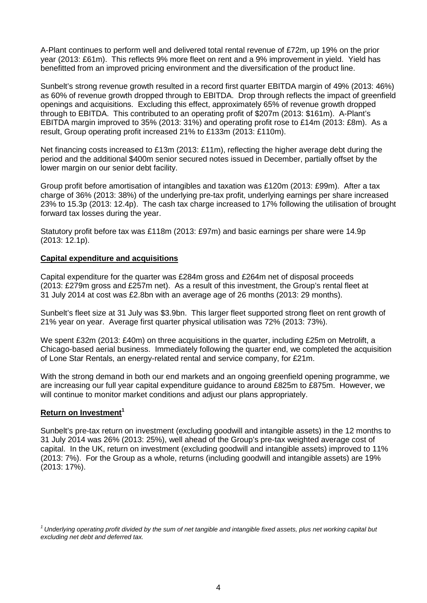A-Plant continues to perform well and delivered total rental revenue of £72m, up 19% on the prior year (2013: £61m). This reflects 9% more fleet on rent and a 9% improvement in yield. Yield has benefitted from an improved pricing environment and the diversification of the product line.

Sunbelt's strong revenue growth resulted in a record first quarter EBITDA margin of 49% (2013: 46%) as 60% of revenue growth dropped through to EBITDA. Drop through reflects the impact of greenfield openings and acquisitions. Excluding this effect, approximately 65% of revenue growth dropped through to EBITDA. This contributed to an operating profit of \$207m (2013: \$161m). A-Plant's EBITDA margin improved to 35% (2013: 31%) and operating profit rose to £14m (2013: £8m). As a result, Group operating profit increased 21% to £133m (2013: £110m).

Net financing costs increased to £13m (2013: £11m), reflecting the higher average debt during the period and the additional \$400m senior secured notes issued in December, partially offset by the lower margin on our senior debt facility.

Group profit before amortisation of intangibles and taxation was £120m (2013: £99m). After a tax charge of 36% (2013: 38%) of the underlying pre-tax profit, underlying earnings per share increased 23% to 15.3p (2013: 12.4p). The cash tax charge increased to 17% following the utilisation of brought forward tax losses during the year.

Statutory profit before tax was £118m (2013: £97m) and basic earnings per share were 14.9p (2013: 12.1p).

#### **Capital expenditure and acquisitions**

Capital expenditure for the quarter was £284m gross and £264m net of disposal proceeds (2013: £279m gross and £257m net). As a result of this investment, the Group's rental fleet at 31 July 2014 at cost was £2.8bn with an average age of 26 months (2013: 29 months).

Sunbelt's fleet size at 31 July was \$3.9bn. This larger fleet supported strong fleet on rent growth of 21% year on year. Average first quarter physical utilisation was 72% (2013: 73%).

We spent £32m (2013: £40m) on three acquisitions in the quarter, including £25m on Metrolift, a Chicago-based aerial business. Immediately following the quarter end, we completed the acquisition of Lone Star Rentals, an energy-related rental and service company, for £21m.

With the strong demand in both our end markets and an ongoing greenfield opening programme, we are increasing our full year capital expenditure guidance to around £825m to £875m. However, we will continue to monitor market conditions and adjust our plans appropriately.

## **Return on Investment<sup>1</sup>**

Sunbelt's pre-tax return on investment (excluding goodwill and intangible assets) in the 12 months to 31 July 2014 was 26% (2013: 25%), well ahead of the Group's pre-tax weighted average cost of capital. In the UK, return on investment (excluding goodwill and intangible assets) improved to 11% (2013: 7%). For the Group as a whole, returns (including goodwill and intangible assets) are 19% (2013: 17%).

*<sup>1</sup> Underlying operating profit divided by the sum of net tangible and intangible fixed assets, plus net working capital but excluding net debt and deferred tax.*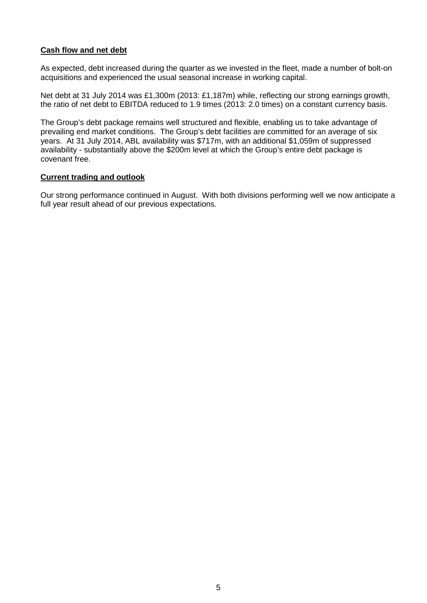## **Cash flow and net debt**

As expected, debt increased during the quarter as we invested in the fleet, made a number of bolt-on acquisitions and experienced the usual seasonal increase in working capital.

Net debt at 31 July 2014 was £1,300m (2013: £1,187m) while, reflecting our strong earnings growth, the ratio of net debt to EBITDA reduced to 1.9 times (2013: 2.0 times) on a constant currency basis.

The Group's debt package remains well structured and flexible, enabling us to take advantage of prevailing end market conditions. The Group's debt facilities are committed for an average of six years. At 31 July 2014, ABL availability was \$717m, with an additional \$1,059m of suppressed availability - substantially above the \$200m level at which the Group's entire debt package is covenant free.

#### **Current trading and outlook**

Our strong performance continued in August. With both divisions performing well we now anticipate a full year result ahead of our previous expectations.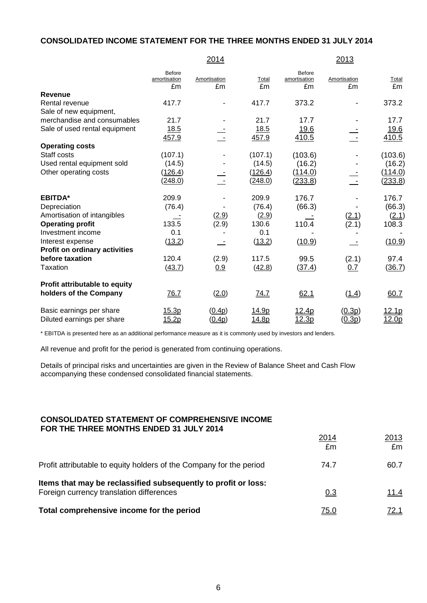## **CONSOLIDATED INCOME STATEMENT FOR THE THREE MONTHS ENDED 31 JULY 2014**

|                                                         |                                     | 2014               |                |                                     | 2013               |                            |
|---------------------------------------------------------|-------------------------------------|--------------------|----------------|-------------------------------------|--------------------|----------------------------|
|                                                         | <b>Before</b><br>amortisation<br>£m | Amortisation<br>£m | Total<br>£m    | <b>Before</b><br>amortisation<br>£m | Amortisation<br>£m | Total<br>£m                |
| <b>Revenue</b>                                          |                                     |                    |                |                                     |                    |                            |
| Rental revenue                                          | 417.7                               |                    | 417.7          | 373.2                               |                    | 373.2                      |
| Sale of new equipment,                                  |                                     |                    |                |                                     |                    |                            |
| merchandise and consumables                             | 21.7                                |                    | 21.7           | 17.7                                |                    | 17.7                       |
| Sale of used rental equipment                           | 18.5                                |                    | 18.5           | <u>19.6</u>                         |                    | <u>19.6</u>                |
|                                                         | 457.9                               |                    | 457.9          | 410.5                               |                    | 410.5                      |
| <b>Operating costs</b>                                  |                                     |                    |                |                                     |                    |                            |
| Staff costs                                             | (107.1)                             |                    | (107.1)        | (103.6)                             |                    | (103.6)                    |
| Used rental equipment sold                              | (14.5)                              |                    | (14.5)         | (16.2)                              |                    | (16.2)                     |
| Other operating costs                                   | (126.4)                             |                    | (126.4)        | (114.0)                             |                    | (114.0)                    |
|                                                         | (248.0)                             |                    | <u>(248.0)</u> | <u>(233.8)</u>                      |                    | <u>(233.8)</u>             |
| <b>EBITDA*</b>                                          | 209.9                               |                    | 209.9          | 176.7                               |                    | 176.7                      |
| Depreciation                                            | (76.4)                              |                    | (76.4)         | (66.3)                              |                    | (66.3)                     |
| Amortisation of intangibles                             |                                     | (2.9)              | (2.9)          |                                     | (2.1)              | (2.1)                      |
| <b>Operating profit</b>                                 | 133.5                               | (2.9)              | 130.6          | 110.4                               | (2.1)              | 108.3                      |
| Investment income                                       | 0.1                                 |                    | 0.1            |                                     |                    |                            |
| Interest expense                                        | (13.2)                              |                    | (13.2)         | (10.9)                              |                    | (10.9)                     |
| <b>Profit on ordinary activities</b>                    |                                     |                    |                |                                     |                    |                            |
| before taxation                                         | 120.4                               | (2.9)              | 117.5          | 99.5                                | (2.1)              | 97.4                       |
| Taxation                                                | (43.7)                              | 0.9                | (42.8)         | (37.4)                              | 0.7                | (36.7)                     |
| Profit attributable to equity<br>holders of the Company | 76.7                                | (2.0)              | 74.7           | 62.1                                | (1.4)              | 60.7                       |
| Basic earnings per share<br>Diluted earnings per share  | 15.3p<br>15.2p                      | (0.4p)<br>(0.4p)   | 14.9p<br>14.8p | 12.4p<br>12.3p                      | (0.3p)<br>(0.3p)   | 12.1 <sub>p</sub><br>12.0p |
|                                                         |                                     |                    |                |                                     |                    |                            |

\* EBITDA is presented here as an additional performance measure as it is commonly used by investors and lenders.

All revenue and profit for the period is generated from continuing operations.

Details of principal risks and uncertainties are given in the Review of Balance Sheet and Cash Flow accompanying these condensed consolidated financial statements.

#### **CONSOLIDATED STATEMENT OF COMPREHENSIVE INCOME FOR THE THREE MONTHS ENDED 31 JULY 2014**

|                                                                                                            | 2014<br>£m  | 2013<br>£m  |
|------------------------------------------------------------------------------------------------------------|-------------|-------------|
| Profit attributable to equity holders of the Company for the period                                        | 74.7        | 60.7        |
| Items that may be reclassified subsequently to profit or loss:<br>Foreign currency translation differences | 0.3         | 11.4        |
| Total comprehensive income for the period                                                                  | <u>75.0</u> | <u>72.1</u> |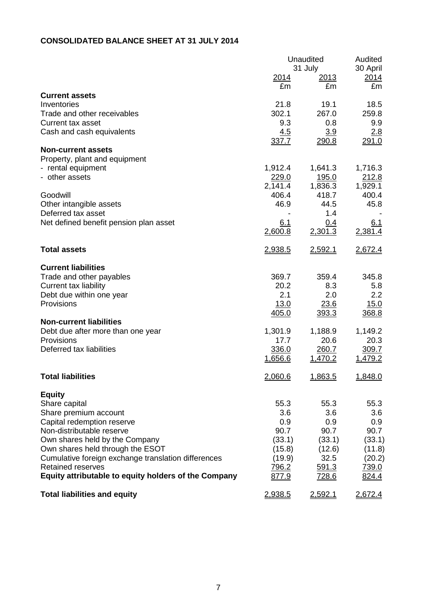## **CONSOLIDATED BALANCE SHEET AT 31 JULY 2014**

|                                                      | Unaudited               | Audited<br>30 April      |                  |
|------------------------------------------------------|-------------------------|--------------------------|------------------|
|                                                      | <u> 2014</u>            | 31 July<br><u> 2013 </u> | <u>2014</u>      |
|                                                      | £m                      | £m                       | £m               |
| <b>Current assets</b>                                |                         |                          |                  |
| Inventories                                          | 21.8                    | 19.1                     | 18.5             |
| Trade and other receivables                          | 302.1                   | 267.0                    | 259.8            |
| <b>Current tax asset</b>                             | 9.3                     | 0.8                      | 9.9              |
| Cash and cash equivalents                            | 4.5                     | 3.9                      | 2.8              |
| <b>Non-current assets</b>                            | 337.7                   | 290.8                    | 291.0            |
| Property, plant and equipment                        |                         |                          |                  |
| - rental equipment                                   | 1,912.4                 | 1,641.3                  | 1,716.3          |
| - other assets                                       | 229.0                   | <u>195.0</u>             | 212.8            |
|                                                      | 2,141.4                 | 1,836.3                  | 1,929.1          |
| Goodwill                                             | 406.4                   | 418.7                    | 400.4            |
| Other intangible assets                              | 46.9                    | 44.5                     | 45.8             |
| Deferred tax asset                                   |                         | 1.4                      |                  |
| Net defined benefit pension plan asset               | 6.1                     | 0.4                      | <u>6.1</u>       |
|                                                      | 2,600.8                 | 2,301.3                  | 2,381.4          |
| <b>Total assets</b>                                  | 2,938.5                 | 2,592.1                  | 2,672.4          |
|                                                      |                         |                          |                  |
| <b>Current liabilities</b>                           |                         |                          |                  |
| Trade and other payables                             | 369.7                   | 359.4                    | 345.8            |
| Current tax liability                                | 20.2                    | 8.3                      | 5.8              |
| Debt due within one year                             | 2.1                     | 2.0                      | 2.2              |
| Provisions                                           | 13.0                    | 23.6                     | 15.0             |
|                                                      | 405.0                   | 393.3                    | 368.8            |
| <b>Non-current liabilities</b>                       |                         |                          |                  |
| Debt due after more than one year                    | 1,301.9                 | 1,188.9                  | 1,149.2          |
| Provisions<br>Deferred tax liabilities               | 17.7                    | 20.6                     | 20.3             |
|                                                      | 336.0<br><u>1,656.6</u> | 260.7<br>1,470.2         | 309.7<br>1,479.2 |
|                                                      |                         |                          |                  |
| <b>Total liabilities</b>                             | 2,060.6                 | 1,863.5                  | 1,848.0          |
| <b>Equity</b>                                        |                         |                          |                  |
| Share capital                                        | 55.3                    | 55.3                     | 55.3             |
| Share premium account                                | 3.6                     | 3.6                      | 3.6              |
| Capital redemption reserve                           | 0.9                     | 0.9                      | 0.9              |
| Non-distributable reserve                            | 90.7                    | 90.7                     | 90.7             |
| Own shares held by the Company                       | (33.1)                  | (33.1)                   | (33.1)           |
| Own shares held through the ESOT                     | (15.8)                  | (12.6)                   | (11.8)           |
| Cumulative foreign exchange translation differences  | (19.9)                  | 32.5                     | (20.2)           |
| <b>Retained reserves</b>                             | 796.2                   | 591.3                    | 739.0            |
| Equity attributable to equity holders of the Company | 877.9                   | 728.6                    | 824.4            |
| <b>Total liabilities and equity</b>                  | 2,938.5                 | <u>2,592.1</u>           | 2,672.4          |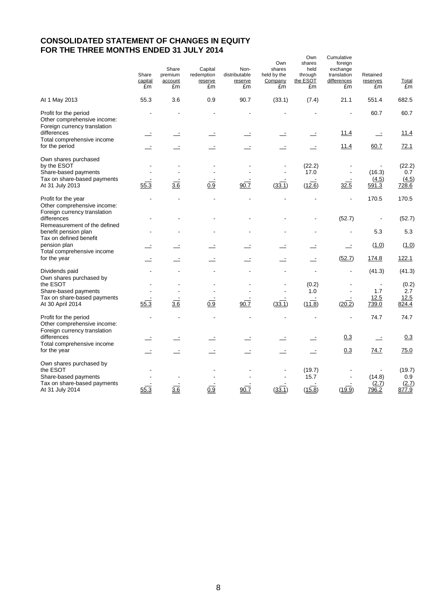## **CONSOLIDATED STATEMENT OF CHANGES IN EQUITY FOR THE THREE MONTHS ENDED 31 JULY 2014**

|                                                                                            | Share<br>capital<br>£m | Share<br>premium<br>account<br>£m | Capital<br>redemption<br>reserve<br>£m | Non-<br>distributable<br>reserve<br>£m | Own<br>shares<br>held by the<br>Company<br>£m | Own<br>shares<br>held<br>through<br>the ESOT<br>£m | Cumulative<br>foreign<br>exchange<br>translation<br>differences<br>£m | Retained<br>reserves<br>£m | <b>Total</b><br>£m     |
|--------------------------------------------------------------------------------------------|------------------------|-----------------------------------|----------------------------------------|----------------------------------------|-----------------------------------------------|----------------------------------------------------|-----------------------------------------------------------------------|----------------------------|------------------------|
| At 1 May 2013                                                                              | 55.3                   | 3.6                               | 0.9                                    | 90.7                                   | (33.1)                                        | (7.4)                                              | 21.1                                                                  | 551.4                      | 682.5                  |
| Profit for the period<br>Other comprehensive income:<br>Foreign currency translation       |                        |                                   |                                        |                                        |                                               |                                                    |                                                                       | 60.7                       | 60.7                   |
| differences<br>Total comprehensive income                                                  |                        |                                   |                                        |                                        |                                               |                                                    | <u>11.4</u>                                                           | $\equiv$                   | 11.4                   |
| for the period                                                                             |                        |                                   |                                        | $\equiv$                               |                                               |                                                    | 11.4                                                                  | 60.7                       | 72.1                   |
| Own shares purchased<br>by the ESOT<br>Share-based payments<br>Tax on share-based payments |                        |                                   |                                        |                                        |                                               | (22.2)<br>17.0                                     | $\blacksquare$                                                        | (16.3)<br>(4.5)            | (22.2)<br>0.7<br>(4.5) |
| At 31 July 2013                                                                            | 55.3                   | 3.6                               | 0.9                                    | 90.7                                   | (33.1)                                        | (12.6)                                             | 32.5                                                                  | <u>591.3</u>               | 728.6                  |
| Profit for the year<br>Other comprehensive income:<br>Foreign currency translation         |                        |                                   |                                        |                                        |                                               |                                                    | L,                                                                    | 170.5                      | 170.5                  |
| differences<br>Remeasurement of the defined                                                |                        |                                   |                                        |                                        |                                               |                                                    | (52.7)                                                                |                            | (52.7)                 |
| benefit pension plan<br>Tax on defined benefit                                             |                        |                                   |                                        |                                        |                                               |                                                    |                                                                       | 5.3                        | 5.3                    |
| pension plan<br>Total comprehensive income                                                 |                        |                                   |                                        |                                        |                                               |                                                    | $\equiv$                                                              | (1.0)                      | (1.0)                  |
| for the year                                                                               |                        |                                   |                                        |                                        |                                               |                                                    | (52.7)                                                                | 174.8                      | 122.1                  |
| Dividends paid<br>Own shares purchased by                                                  |                        |                                   |                                        |                                        |                                               |                                                    | $\overline{a}$                                                        | (41.3)                     | (41.3)                 |
| the ESOT<br>Share-based payments                                                           |                        |                                   |                                        |                                        |                                               | (0.2)<br>1.0                                       |                                                                       | 1.7                        | (0.2)<br>2.7           |
| Tax on share-based payments<br>At 30 April 2014                                            | 55.3                   | $\overline{3.6}$                  | $\overline{0.9}$                       | 90.7                                   | (33.1)                                        | (11.8)                                             | (20.2)                                                                | 12.5<br>739.0              | 12.5<br>824.4          |
| Profit for the period<br>Other comprehensive income:<br>Foreign currency translation       |                        |                                   |                                        |                                        |                                               |                                                    |                                                                       | 74.7                       | 74.7                   |
| differences<br>Total comprehensive income                                                  |                        |                                   |                                        |                                        |                                               |                                                    | 0.3                                                                   | $\equiv$                   | 0.3                    |
| for the year                                                                               |                        |                                   |                                        | ÷.                                     |                                               |                                                    | 0.3                                                                   | 74.7                       | 75.0                   |
| Own shares purchased by<br>the ESOT<br>Share-based payments                                |                        |                                   |                                        |                                        |                                               | (19.7)<br>15.7                                     |                                                                       | (14.8)                     | (19.7)<br>0.9          |
| Tax on share-based payments<br>At 31 July 2014                                             | $\frac{55.3}{55.3}$    | 3.6                               | 0.9                                    | 90.7                                   | (33.1)                                        | (15.8)                                             | (19.9)                                                                | (2.7)<br>796.2             | (2.7)<br>877.9         |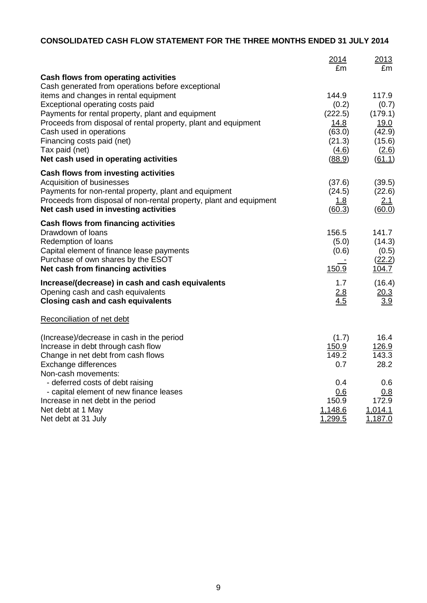# **CONSOLIDATED CASH FLOW STATEMENT FOR THE THREE MONTHS ENDED 31 JULY 2014**

|                                                                    | 2014<br>£m | 2013<br>£m  |
|--------------------------------------------------------------------|------------|-------------|
| Cash flows from operating activities                               |            |             |
| Cash generated from operations before exceptional                  |            |             |
| items and changes in rental equipment                              | 144.9      | 117.9       |
| Exceptional operating costs paid                                   | (0.2)      | (0.7)       |
| Payments for rental property, plant and equipment                  | (222.5)    | (179.1)     |
| Proceeds from disposal of rental property, plant and equipment     | 14.8       | <u>19.0</u> |
| Cash used in operations                                            | (63.0)     | (42.9)      |
| Financing costs paid (net)                                         | (21.3)     | (15.6)      |
| Tax paid (net)                                                     | (4.6)      | (2.6)       |
| Net cash used in operating activities                              | (88.9)     | (61.1)      |
| Cash flows from investing activities                               |            |             |
| Acquisition of businesses                                          | (37.6)     | (39.5)      |
| Payments for non-rental property, plant and equipment              | (24.5)     | (22.6)      |
| Proceeds from disposal of non-rental property, plant and equipment | 1.8        | <u>2.1</u>  |
| Net cash used in investing activities                              | (60.3)     | (60.0)      |
| <b>Cash flows from financing activities</b>                        |            |             |
| Drawdown of loans                                                  | 156.5      | 141.7       |
| Redemption of loans                                                | (5.0)      | (14.3)      |
| Capital element of finance lease payments                          | (0.6)      | (0.5)       |
| Purchase of own shares by the ESOT                                 |            | (22.2)      |
| Net cash from financing activities                                 | 150.9      | 104.7       |
| Increase/(decrease) in cash and cash equivalents                   | 1.7        | (16.4)      |
| Opening cash and cash equivalents                                  | 2.8        | 20.3        |
| <b>Closing cash and cash equivalents</b>                           | 4.5        | 3.9         |
| Reconciliation of net debt                                         |            |             |
| (Increase)/decrease in cash in the period                          | (1.7)      | 16.4        |
| Increase in debt through cash flow                                 | 150.9      | 126.9       |
| Change in net debt from cash flows                                 | 149.2      | 143.3       |
| Exchange differences                                               | 0.7        | 28.2        |
| Non-cash movements:                                                |            |             |
| - deferred costs of debt raising                                   | 0.4        | 0.6         |
| - capital element of new finance leases                            | 0.6        | 0.8         |
| Increase in net debt in the period                                 | 150.9      | 172.9       |
| Net debt at 1 May                                                  | 1,148.6    | 1,014.1     |
| Net debt at 31 July                                                | 1,299.5    | 1,187.0     |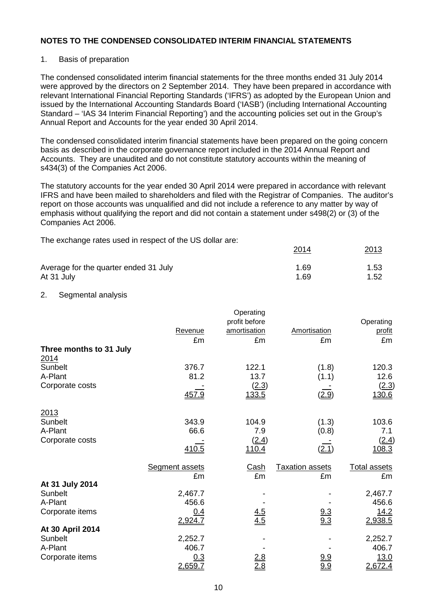## 1. Basis of preparation

The condensed consolidated interim financial statements for the three months ended 31 July 2014 were approved by the directors on 2 September 2014. They have been prepared in accordance with relevant International Financial Reporting Standards ('IFRS') as adopted by the European Union and issued by the International Accounting Standards Board ('IASB') (including International Accounting Standard – 'IAS 34 Interim Financial Reporting') and the accounting policies set out in the Group's Annual Report and Accounts for the year ended 30 April 2014.

The condensed consolidated interim financial statements have been prepared on the going concern basis as described in the corporate governance report included in the 2014 Annual Report and Accounts. They are unaudited and do not constitute statutory accounts within the meaning of s434(3) of the Companies Act 2006.

The statutory accounts for the year ended 30 April 2014 were prepared in accordance with relevant IFRS and have been mailed to shareholders and filed with the Registrar of Companies. The auditor's report on those accounts was unqualified and did not include a reference to any matter by way of emphasis without qualifying the report and did not contain a statement under s498(2) or (3) of the Companies Act 2006.

2014 2013

The exchange rates used in respect of the US dollar are:

| Average for the quarter ended 31 July | 1.69 | 1.53 |
|---------------------------------------|------|------|
| At 31 July                            | 1.69 | 1.52 |

## 2. Segmental analysis

|                         |                       | Operating         |                        |                     |
|-------------------------|-----------------------|-------------------|------------------------|---------------------|
|                         |                       | profit before     |                        | Operating           |
|                         | Revenue               | amortisation      | Amortisation           | profit              |
|                         | £m                    | £m                | £m                     | £m                  |
| Three months to 31 July |                       |                   |                        |                     |
| 2014                    |                       |                   |                        |                     |
| Sunbelt                 | 376.7                 | 122.1             | (1.8)                  | 120.3               |
| A-Plant                 | 81.2                  | 13.7              | (1.1)                  | 12.6                |
| Corporate costs         |                       | (2.3)             |                        | (2.3)               |
|                         | 457.9                 | 133.5             | (2.9)                  | 130.6               |
| 2013                    |                       |                   |                        |                     |
| Sunbelt                 | 343.9                 | 104.9             | (1.3)                  | 103.6               |
| A-Plant                 | 66.6                  | 7.9               | (0.8)                  | 7.1                 |
| Corporate costs         |                       | (2.4)             |                        | (2.4)               |
|                         | 410.5                 | <u>110.4</u>      | (2.1)                  | 108.3               |
|                         | <b>Segment assets</b> | <u>Cash</u>       | <b>Taxation assets</b> | <b>Total assets</b> |
|                         | £m                    | £m                | £m                     | £m                  |
| At 31 July 2014         |                       |                   |                        |                     |
| Sunbelt                 | 2,467.7               |                   |                        | 2,467.7             |
| A-Plant                 | 456.6                 |                   |                        | 456.6               |
| Corporate items         | 0.4                   |                   |                        | 14.2                |
|                         | 2,924.7               | $\frac{4.5}{4.5}$ | $\frac{9.3}{9.3}$      | 2,938.5             |
| At 30 April 2014        |                       |                   |                        |                     |
| Sunbelt                 | 2,252.7               |                   |                        | 2,252.7             |
| A-Plant                 | 406.7                 |                   |                        | 406.7               |
| Corporate items         | 0.3                   | $\frac{2.8}{2.8}$ | <u>9.9</u>             | 13.0                |
|                         | 2,659.7               |                   | 9.9                    | 2,672.4             |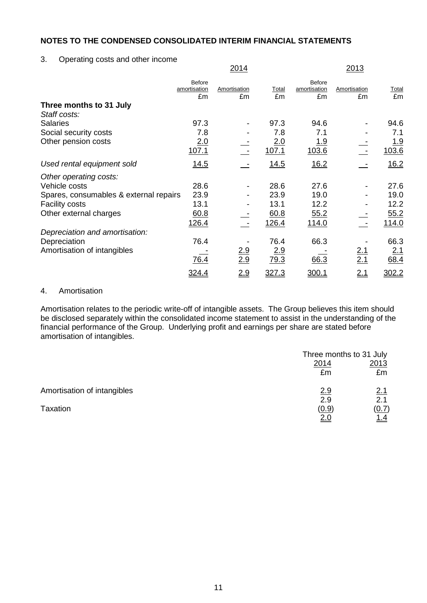3. Operating costs and other income

|                                        |                                     | <u>2014</u>        |             |                              | <u>2013</u>        |                    |
|----------------------------------------|-------------------------------------|--------------------|-------------|------------------------------|--------------------|--------------------|
|                                        | <b>Before</b><br>amortisation<br>£m | Amortisation<br>£m | Total<br>£m | Before<br>amortisation<br>£m | Amortisation<br>£m | <b>Total</b><br>£m |
| Three months to 31 July                |                                     |                    |             |                              |                    |                    |
| Staff costs:                           |                                     |                    |             |                              |                    |                    |
| <b>Salaries</b>                        | 97.3                                |                    | 97.3        | 94.6                         |                    | 94.6               |
| Social security costs                  | 7.8                                 |                    | 7.8         | 7.1                          |                    | 7.1                |
| Other pension costs                    | 2.0                                 |                    | 2.0         | <u> 1.9</u>                  |                    | <u> 1.9</u>        |
|                                        | 107.1                               |                    | 107.1       | 103.6                        |                    | 103.6              |
| Used rental equipment sold             | <u>14.5</u>                         |                    | 14.5        | 16.2                         |                    | 16.2               |
| Other operating costs:                 |                                     |                    |             |                              |                    |                    |
| Vehicle costs                          | 28.6                                |                    | 28.6        | 27.6                         |                    | 27.6               |
| Spares, consumables & external repairs | 23.9                                |                    | 23.9        | 19.0                         |                    | 19.0               |
| <b>Facility costs</b>                  | 13.1                                |                    | 13.1        | 12.2                         |                    | 12.2               |
| Other external charges                 | 60.8                                |                    | 60.8        | 55.2                         |                    | 55.2               |
|                                        | 126.4                               |                    | 126.4       | <u>114.0</u>                 |                    | <u>114.0</u>       |
| Depreciation and amortisation:         |                                     |                    |             |                              |                    |                    |
| Depreciation                           | 76.4                                |                    | 76.4        | 66.3                         |                    | 66.3               |
| Amortisation of intangibles            |                                     | <u>2.9</u>         | 2.9         |                              | <u>2.1</u>         | 2.1                |
|                                        | 76.4                                | 2.9                | 79.3        | 66.3                         | 2.1                | 68.4               |
|                                        | 324.4                               | 2.9                | 327.3       | 300.1                        | 2.1                | 302.2              |

## 4. Amortisation

Amortisation relates to the periodic write-off of intangible assets. The Group believes this item should be disclosed separately within the consolidated income statement to assist in the understanding of the financial performance of the Group. Underlying profit and earnings per share are stated before amortisation of intangibles.

|                             |       | Three months to 31 July |
|-----------------------------|-------|-------------------------|
|                             | 2014  | 2013                    |
|                             | £m    | £m                      |
| Amortisation of intangibles | 2.9   | 2.1                     |
|                             | 2.9   | 2.1                     |
| Taxation                    | (0.9) | (0.7)                   |
|                             |       | <u>1.4</u>              |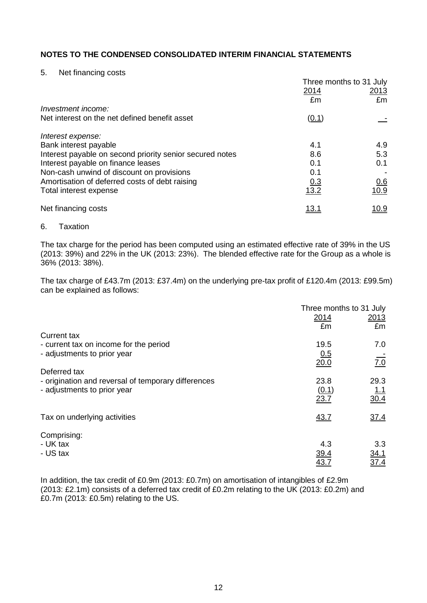#### 5. Net financing costs

|                                                          | Three months to 31 July |              |
|----------------------------------------------------------|-------------------------|--------------|
|                                                          | 2014                    | 2013         |
|                                                          | £m                      | £m           |
| Investment income:                                       |                         |              |
| Net interest on the net defined benefit asset            | (0.1)                   |              |
| Interest expense:                                        |                         |              |
| Bank interest payable                                    | 4.1                     | 4.9          |
| Interest payable on second priority senior secured notes | 8.6                     | 5.3          |
| Interest payable on finance leases                       | 0.1                     | 0.1          |
| Non-cash unwind of discount on provisions                | 0.1                     |              |
| Amortisation of deferred costs of debt raising           | 0.3                     | <u>0.6</u>   |
| Total interest expense                                   | 13.2                    | 10.9         |
| Net financing costs                                      | <u> 13.1</u>            | <u> 10.9</u> |
|                                                          |                         |              |

#### 6. Taxation

The tax charge for the period has been computed using an estimated effective rate of 39% in the US (2013: 39%) and 22% in the UK (2013: 23%). The blended effective rate for the Group as a whole is 36% (2013: 38%).

The tax charge of £43.7m (2013: £37.4m) on the underlying pre-tax profit of £120.4m (2013: £99.5m) can be explained as follows:

|                                                     |             | Three months to 31 July |
|-----------------------------------------------------|-------------|-------------------------|
|                                                     | 2014        | <u>2013</u>             |
|                                                     | £m          | £m                      |
| <b>Current tax</b>                                  |             |                         |
| - current tax on income for the period              | 19.5        | 7.0                     |
| - adjustments to prior year                         | 0.5         |                         |
|                                                     | 20.0        | $\overline{7.0}$        |
| Deferred tax                                        |             |                         |
| - origination and reversal of temporary differences | 23.8        | 29.3                    |
| - adjustments to prior year                         | (0.1)       | <u>1.1</u>              |
|                                                     | 23.7        | 30.4                    |
| Tax on underlying activities                        | 43.7        | 37.4                    |
|                                                     |             |                         |
| Comprising:                                         |             |                         |
| - UK tax                                            | 4.3         | 3.3                     |
| - US tax                                            | <u>39.4</u> | 34.1                    |
|                                                     | <u>43.7</u> | 37.4                    |

In addition, the tax credit of £0.9m (2013: £0.7m) on amortisation of intangibles of £2.9m (2013: £2.1m) consists of a deferred tax credit of £0.2m relating to the UK (2013: £0.2m) and £0.7m (2013: £0.5m) relating to the US.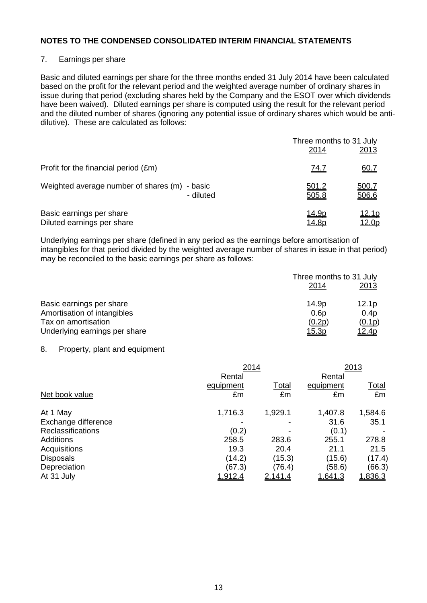## 7. Earnings per share

Basic and diluted earnings per share for the three months ended 31 July 2014 have been calculated based on the profit for the relevant period and the weighted average number of ordinary shares in issue during that period (excluding shares held by the Company and the ESOT over which dividends have been waived). Diluted earnings per share is computed using the result for the relevant period and the diluted number of shares (ignoring any potential issue of ordinary shares which would be antidilutive). These are calculated as follows:

|                                               | Three months to 31 July<br>2014 | 2013          |
|-----------------------------------------------|---------------------------------|---------------|
| Profit for the financial period (£m)          | <u>74.7</u>                     | <u>60.7</u>   |
| Weighted average number of shares (m) - basic | <u>501.2</u>                    | <u>500.7</u>  |
| - diluted                                     | 505.8                           | 506.6         |
| Basic earnings per share                      | <u> 14.9p</u>                   | <u> 12.1p</u> |
| Diluted earnings per share                    | <u> 14.8p</u>                   | 12.0p         |

Underlying earnings per share (defined in any period as the earnings before amortisation of intangibles for that period divided by the weighted average number of shares in issue in that period) may be reconciled to the basic earnings per share as follows:

|                               | Three months to 31 July |                   |  |
|-------------------------------|-------------------------|-------------------|--|
|                               | 2014                    | <u>2013</u>       |  |
| Basic earnings per share      | 14.9p                   | 12.1 <sub>p</sub> |  |
| Amortisation of intangibles   | 0.6p                    | 0.4p              |  |
| Tax on amortisation           | (0.2p)                  | (0.1p)            |  |
| Underlying earnings per share | <u>15.3p</u>            | 12.4p             |  |

## 8. Property, plant and equipment

|                          | 2014           | 2013           |                |                |
|--------------------------|----------------|----------------|----------------|----------------|
|                          | Rental         |                | Rental         |                |
|                          | equipment      | <u>Total</u>   | equipment      | <u>Total</u>   |
| Net book value           | £m             | £m             | £m             | £m             |
| At 1 May                 | 1,716.3        | 1,929.1        | 1,407.8        | 1,584.6        |
| Exchange difference      |                |                | 31.6           | 35.1           |
| <b>Reclassifications</b> | (0.2)          |                | (0.1)          |                |
| <b>Additions</b>         | 258.5          | 283.6          | 255.1          | 278.8          |
| Acquisitions             | 19.3           | 20.4           | 21.1           | 21.5           |
| <b>Disposals</b>         | (14.2)         | (15.3)         | (15.6)         | (17.4)         |
| Depreciation             | (67.3)         | <u>(76.4)</u>  | <u>(58.6)</u>  | <u>(66.3)</u>  |
| At 31 July               | <u>1,912.4</u> | <u>2.141.4</u> | <u>1,641.3</u> | <u>1,836.3</u> |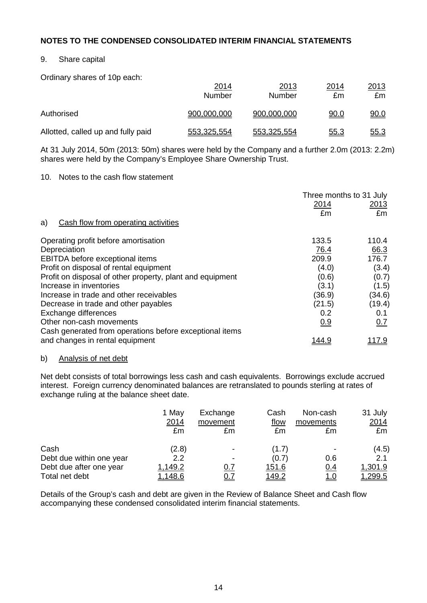## 9. Share capital

Ordinary shares of 10p each:

|                                    | <u>2014</u><br><b>Number</b> | 2013<br>Number | 2014<br>£m | <u> 2013</u><br>£m |
|------------------------------------|------------------------------|----------------|------------|--------------------|
| Authorised                         | 900,000,000                  | 900,000,000    | 0.0        | 90.0               |
| Allotted, called up and fully paid | 553,325,554                  | 553,325,554    | 55.3       | <u>55.3</u>        |

At 31 July 2014, 50m (2013: 50m) shares were held by the Company and a further 2.0m (2013: 2.2m) shares were held by the Company's Employee Share Ownership Trust.

## 10. Notes to the cash flow statement

|                                                           | Three months to 31 July<br>2014<br>£m | <u>2013</u><br>£m |
|-----------------------------------------------------------|---------------------------------------|-------------------|
| Cash flow from operating activities<br>a)                 |                                       |                   |
| Operating profit before amortisation                      | 133.5                                 | 110.4             |
| Depreciation                                              | 76.4                                  | 66.3              |
| EBITDA before exceptional items                           | 209.9                                 | 176.7             |
| Profit on disposal of rental equipment                    | (4.0)                                 | (3.4)             |
| Profit on disposal of other property, plant and equipment | (0.6)                                 | (0.7)             |
| Increase in inventories                                   | (3.1)                                 | (1.5)             |
| Increase in trade and other receivables                   | (36.9)                                | (34.6)            |
| Decrease in trade and other payables                      | (21.5)                                | (19.4)            |
| Exchange differences                                      | 0.2                                   | 0.1               |
| Other non-cash movements                                  | 0.9                                   | 0.7               |
| Cash generated from operations before exceptional items   |                                       |                   |
| and changes in rental equipment                           | । 44.५                                | <u> 117.9</u>     |

## b) Analysis of net debt

Net debt consists of total borrowings less cash and cash equivalents. Borrowings exclude accrued interest. Foreign currency denominated balances are retranslated to pounds sterling at rates of exchange ruling at the balance sheet date.

|                          | 1 May         | Exchange   | Cash          | Non-cash   | 31 July        |
|--------------------------|---------------|------------|---------------|------------|----------------|
|                          | 2014          | movement   | flow          | movements  | 2014           |
|                          | £m            | £m         | £m            | £m         | £m             |
| Cash                     | (2.8)         |            | (1.7          |            | (4.5)          |
| Debt due within one year | 2.2           |            | (0.7)         | 0.6        | 2.1            |
| Debt due after one year  | 1,149.2       | <u>0.7</u> | 151.6         | 0.4        | 1,301.9        |
| Total net debt           | <u>.148.6</u> | <u>0.7</u> | <u> 149.2</u> | <u>1.0</u> | <u>1,299.5</u> |

Details of the Group's cash and debt are given in the Review of Balance Sheet and Cash flow accompanying these condensed consolidated interim financial statements.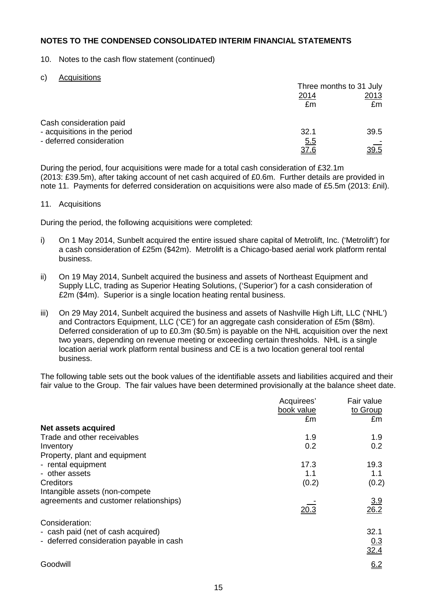## 10. Notes to the cash flow statement (continued)

#### c) Acquisitions

|                                                         | Three months to 31 July |             |
|---------------------------------------------------------|-------------------------|-------------|
|                                                         | <u>2014</u><br>£m       | 2013<br>£m  |
| Cash consideration paid<br>- acquisitions in the period | 32.1                    | 39.5        |
| - deferred consideration                                | <u>5.5</u><br>37.6      | <u>39.5</u> |

During the period, four acquisitions were made for a total cash consideration of £32.1m (2013: £39.5m), after taking account of net cash acquired of £0.6m. Further details are provided in note 11. Payments for deferred consideration on acquisitions were also made of £5.5m (2013: £nil).

## 11. Acquisitions

During the period, the following acquisitions were completed:

- i) On 1 May 2014, Sunbelt acquired the entire issued share capital of Metrolift, Inc. ('Metrolift') for a cash consideration of £25m (\$42m). Metrolift is a Chicago-based aerial work platform rental business.
- ii) On 19 May 2014, Sunbelt acquired the business and assets of Northeast Equipment and Supply LLC, trading as Superior Heating Solutions, ('Superior') for a cash consideration of £2m (\$4m). Superior is a single location heating rental business.
- iii) On 29 May 2014, Sunbelt acquired the business and assets of Nashville High Lift, LLC ('NHL') and Contractors Equipment, LLC ('CE') for an aggregate cash consideration of £5m (\$8m). Deferred consideration of up to £0.3m (\$0.5m) is payable on the NHL acquisition over the next two years, depending on revenue meeting or exceeding certain thresholds. NHL is a single location aerial work platform rental business and CE is a two location general tool rental business.

The following table sets out the book values of the identifiable assets and liabilities acquired and their fair value to the Group. The fair values have been determined provisionally at the balance sheet date.

|                                          | Acquirees'<br>book value<br>£m | Fair value<br>to Group<br>£m |
|------------------------------------------|--------------------------------|------------------------------|
| Net assets acquired                      |                                |                              |
| Trade and other receivables              | 1.9                            | 1.9                          |
| Inventory                                | 0.2                            | 0.2                          |
| Property, plant and equipment            |                                |                              |
| - rental equipment                       | 17.3                           | 19.3                         |
| - other assets                           | 1.1                            | 1.1                          |
| Creditors                                | (0.2)                          | (0.2)                        |
| Intangible assets (non-compete)          |                                |                              |
| agreements and customer relationships)   | 20.3                           | $\frac{3.9}{26.2}$           |
|                                          |                                |                              |
| Consideration:                           |                                |                              |
| - cash paid (net of cash acquired)       |                                | 32.1                         |
| - deferred consideration payable in cash |                                | $\frac{0.3}{32.4}$           |
|                                          |                                |                              |
| Goodwill                                 |                                | 6.2                          |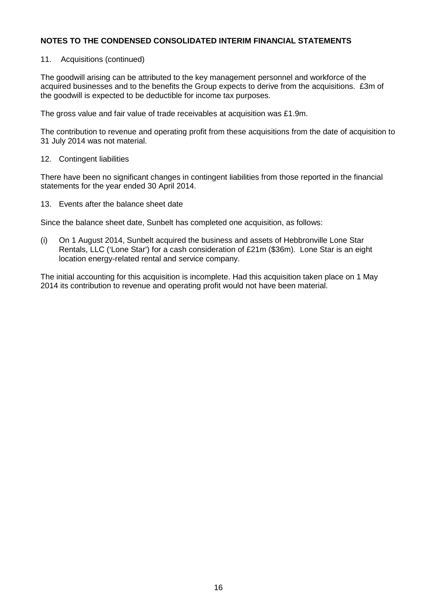## 11. Acquisitions (continued)

The goodwill arising can be attributed to the key management personnel and workforce of the acquired businesses and to the benefits the Group expects to derive from the acquisitions. £3m of the goodwill is expected to be deductible for income tax purposes.

The gross value and fair value of trade receivables at acquisition was £1.9m.

The contribution to revenue and operating profit from these acquisitions from the date of acquisition to 31 July 2014 was not material.

#### 12. Contingent liabilities

There have been no significant changes in contingent liabilities from those reported in the financial statements for the year ended 30 April 2014.

13. Events after the balance sheet date

Since the balance sheet date, Sunbelt has completed one acquisition, as follows:

(i) On 1 August 2014, Sunbelt acquired the business and assets of Hebbronville Lone Star Rentals, LLC ('Lone Star') for a cash consideration of £21m (\$36m). Lone Star is an eight location energy-related rental and service company.

The initial accounting for this acquisition is incomplete. Had this acquisition taken place on 1 May 2014 its contribution to revenue and operating profit would not have been material.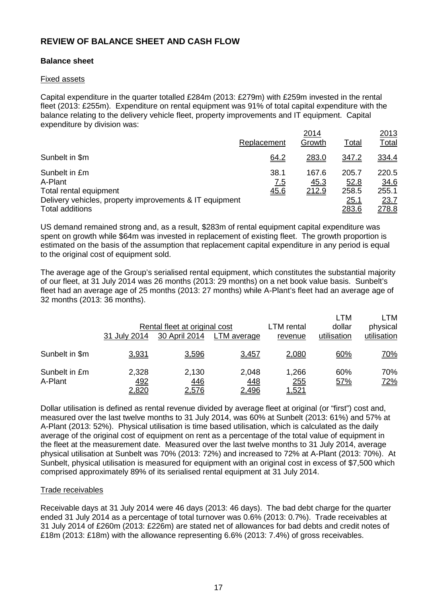## **REVIEW OF BALANCE SHEET AND CASH FLOW**

## **Balance sheet**

#### Fixed assets

Capital expenditure in the quarter totalled £284m (2013: £279m) with £259m invested in the rental fleet (2013: £255m). Expenditure on rental equipment was 91% of total capital expenditure with the balance relating to the delivery vehicle fleet, property improvements and IT equipment. Capital expenditure by division was:

|                                                         |                    | 2014          |               | <u>2013</u>          |
|---------------------------------------------------------|--------------------|---------------|---------------|----------------------|
|                                                         | Replacement        | Growth        | <b>Total</b>  | <u>Total</u>         |
| Sunbelt in \$m                                          | <u>64.2</u>        | 283.0         | 347.2         | 334.4                |
| Sunbelt in £m<br>A-Plant                                | 38.1<br><u>7.5</u> | 167.6<br>45.3 | 205.7<br>52.8 | 220.5<br><u>34.6</u> |
| Total rental equipment                                  | 45.6               | 212.9         | 258.5         | 255.1                |
| Delivery vehicles, property improvements & IT equipment |                    |               | 25.1          | <u>23.7</u>          |
| <b>Total additions</b>                                  |                    |               | <u> 283.6</u> | <u>278.8</u>         |

US demand remained strong and, as a result, \$283m of rental equipment capital expenditure was spent on growth while \$64m was invested in replacement of existing fleet. The growth proportion is estimated on the basis of the assumption that replacement capital expenditure in any period is equal to the original cost of equipment sold.

The average age of the Group's serialised rental equipment, which constitutes the substantial majority of our fleet, at 31 July 2014 was 26 months (2013: 29 months) on a net book value basis. Sunbelt's fleet had an average age of 25 months (2013: 27 months) while A-Plant's fleet had an average age of 32 months (2013: 36 months).

|                          | 31 July 2014          | Rental fleet at original cost<br>30 April 2014 | LTM average           | LTM rental<br>revenue | <b>LTM</b><br>dollar<br>utilisation | LTM<br>physical<br>utilisation |
|--------------------------|-----------------------|------------------------------------------------|-----------------------|-----------------------|-------------------------------------|--------------------------------|
| Sunbelt in \$m           | 3,931                 | 3,596                                          | 3,457                 | 2,080                 | 60%                                 | <u>70%</u>                     |
| Sunbelt in £m<br>A-Plant | 2,328<br>492<br>2,820 | 2,130<br>446<br>2,576                          | 2,048<br>448<br>2,496 | 1,266<br>255<br>521,ا | 60%<br>57%                          | 70%<br><u>72%</u>              |

Dollar utilisation is defined as rental revenue divided by average fleet at original (or "first") cost and, measured over the last twelve months to 31 July 2014, was 60% at Sunbelt (2013: 61%) and 57% at A-Plant (2013: 52%). Physical utilisation is time based utilisation, which is calculated as the daily average of the original cost of equipment on rent as a percentage of the total value of equipment in the fleet at the measurement date. Measured over the last twelve months to 31 July 2014, average physical utilisation at Sunbelt was 70% (2013: 72%) and increased to 72% at A-Plant (2013: 70%). At Sunbelt, physical utilisation is measured for equipment with an original cost in excess of \$7,500 which comprised approximately 89% of its serialised rental equipment at 31 July 2014.

## Trade receivables

Receivable days at 31 July 2014 were 46 days (2013: 46 days). The bad debt charge for the quarter ended 31 July 2014 as a percentage of total turnover was 0.6% (2013: 0.7%). Trade receivables at 31 July 2014 of £260m (2013: £226m) are stated net of allowances for bad debts and credit notes of £18m (2013: £18m) with the allowance representing 6.6% (2013: 7.4%) of gross receivables.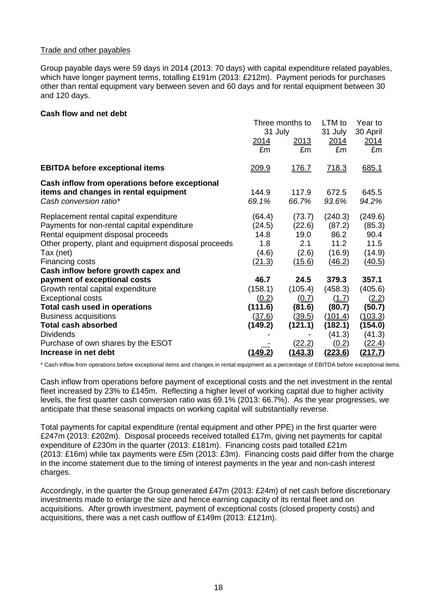### Trade and other payables

Group payable days were 59 days in 2014 (2013: 70 days) with capital expenditure related payables, which have longer payment terms, totalling £191m (2013: £212m). Payment periods for purchases other than rental equipment vary between seven and 60 days and for rental equipment between 30 and 120 days.

#### **Cash flow and net debt**

|                                                       | Three months to |                | LTM to         | Year to        |
|-------------------------------------------------------|-----------------|----------------|----------------|----------------|
|                                                       | 31 July         |                | 31 July        | 30 April       |
|                                                       | <u>2014</u>     | <u> 2013 </u>  | 2014           | <u> 2014</u>   |
|                                                       | £m              | £m             | £m             | £m             |
| <b>EBITDA before exceptional items</b>                | 209.9           | <u>176.7</u>   | <u>718.3</u>   | 685.1          |
| Cash inflow from operations before exceptional        |                 |                |                |                |
| items and changes in rental equipment                 | 144.9           | 117.9          | 672.5          | 645.5          |
| Cash conversion ratio*                                | 69.1%           | 66.7%          | 93.6%          | 94.2%          |
| Replacement rental capital expenditure                | (64.4)          | (73.7)         | (240.3)        | (249.6)        |
| Payments for non-rental capital expenditure           | (24.5)          | (22.6)         | (87.2)         | (85.3)         |
| Rental equipment disposal proceeds                    | 14.8            | 19.0           | 86.2           | 90.4           |
| Other property, plant and equipment disposal proceeds | 1.8             | 2.1            | 11.2           | 11.5           |
| Tax (net)                                             | (4.6)           | (2.6)          | (16.9)         | (14.9)         |
| Financing costs                                       | (21.3)          | (15.6)         | (46.2)         | <u>(40.5)</u>  |
| Cash inflow before growth capex and                   |                 |                |                |                |
| payment of exceptional costs                          | 46.7            | 24.5           | 379.3          | 357.1          |
| Growth rental capital expenditure                     | (158.1)         | (105.4)        | (458.3)        | (405.6)        |
| <b>Exceptional costs</b>                              | (0.2)           | (0.7)          | (1.7)          | (2.2)          |
| Total cash used in operations                         | (111.6)         | (81.6)         | (80.7)         | (50.7)         |
| <b>Business acquisitions</b>                          | <u>(37.6)</u>   | (39.5)         | (101.4)        | (103.3)        |
| <b>Total cash absorbed</b>                            | (149.2)         | (121.1)        | (182.1)        | (154.0)        |
| <b>Dividends</b>                                      |                 |                | (41.3)         | (41.3)         |
| Purchase of own shares by the ESOT                    |                 | (22.2)         | (0.2)          | <u>(22.4)</u>  |
| Increase in net debt                                  | <u>(149.2)</u>  | <u>(143.3)</u> | <u>(223.6)</u> | <u>(217.7)</u> |

\* Cash inflow from operations before exceptional items and changes in rental equipment as a percentage of EBITDA before exceptional items.

Cash inflow from operations before payment of exceptional costs and the net investment in the rental fleet increased by 23% to £145m. Reflecting a higher level of working capital due to higher activity levels, the first quarter cash conversion ratio was 69.1% (2013: 66.7%). As the year progresses, we anticipate that these seasonal impacts on working capital will substantially reverse.

Total payments for capital expenditure (rental equipment and other PPE) in the first quarter were £247m (2013: £202m). Disposal proceeds received totalled £17m, giving net payments for capital expenditure of £230m in the quarter (2013: £181m). Financing costs paid totalled £21m (2013: £16m) while tax payments were £5m (2013: £3m). Financing costs paid differ from the charge in the income statement due to the timing of interest payments in the year and non-cash interest charges.

Accordingly, in the quarter the Group generated £47m (2013: £24m) of net cash before discretionary investments made to enlarge the size and hence earning capacity of its rental fleet and on acquisitions. After growth investment, payment of exceptional costs (closed property costs) and acquisitions, there was a net cash outflow of £149m (2013: £121m).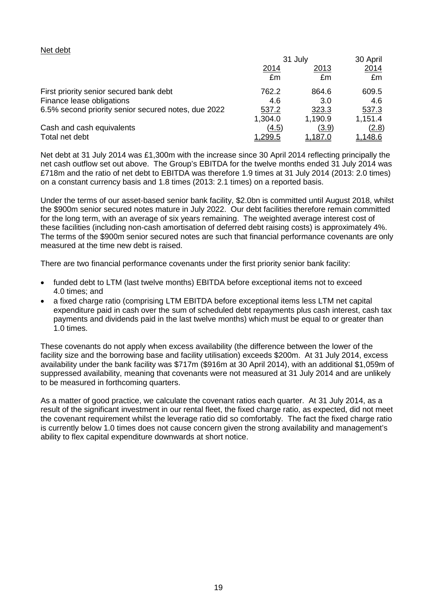#### Net debt

|                                                     | 31 July       | 30 April       |                |
|-----------------------------------------------------|---------------|----------------|----------------|
|                                                     | <u>2014</u>   | 2013           | <u> 2014</u>   |
|                                                     | £m            | £m             | £m             |
| First priority senior secured bank debt             | 762.2         | 864.6          | 609.5          |
| Finance lease obligations                           | 4.6           | 3.0            | 4.6            |
| 6.5% second priority senior secured notes, due 2022 | 537.2         | 323.3          | 537.3          |
|                                                     | 1,304.0       | 1,190.9        | 1,151.4        |
| Cash and cash equivalents                           | (4.5)         | (3.9)          | (2.8)          |
| Total net debt                                      | <u>299.5,</u> | <u>1,187.0</u> | <u>1,148.6</u> |

Net debt at 31 July 2014 was £1,300m with the increase since 30 April 2014 reflecting principally the net cash outflow set out above. The Group's EBITDA for the twelve months ended 31 July 2014 was £718m and the ratio of net debt to EBITDA was therefore 1.9 times at 31 July 2014 (2013: 2.0 times) on a constant currency basis and 1.8 times (2013: 2.1 times) on a reported basis.

Under the terms of our asset-based senior bank facility, \$2.0bn is committed until August 2018, whilst the \$900m senior secured notes mature in July 2022. Our debt facilities therefore remain committed for the long term, with an average of six years remaining. The weighted average interest cost of these facilities (including non-cash amortisation of deferred debt raising costs) is approximately 4%. The terms of the \$900m senior secured notes are such that financial performance covenants are only measured at the time new debt is raised.

There are two financial performance covenants under the first priority senior bank facility:

- funded debt to LTM (last twelve months) EBITDA before exceptional items not to exceed 4.0 times; and
- a fixed charge ratio (comprising LTM EBITDA before exceptional items less LTM net capital expenditure paid in cash over the sum of scheduled debt repayments plus cash interest, cash tax payments and dividends paid in the last twelve months) which must be equal to or greater than 1.0 times.

These covenants do not apply when excess availability (the difference between the lower of the facility size and the borrowing base and facility utilisation) exceeds \$200m. At 31 July 2014, excess availability under the bank facility was \$717m (\$916m at 30 April 2014), with an additional \$1,059m of suppressed availability, meaning that covenants were not measured at 31 July 2014 and are unlikely to be measured in forthcoming quarters.

As a matter of good practice, we calculate the covenant ratios each quarter. At 31 July 2014, as a result of the significant investment in our rental fleet, the fixed charge ratio, as expected, did not meet the covenant requirement whilst the leverage ratio did so comfortably. The fact the fixed charge ratio is currently below 1.0 times does not cause concern given the strong availability and management's ability to flex capital expenditure downwards at short notice.